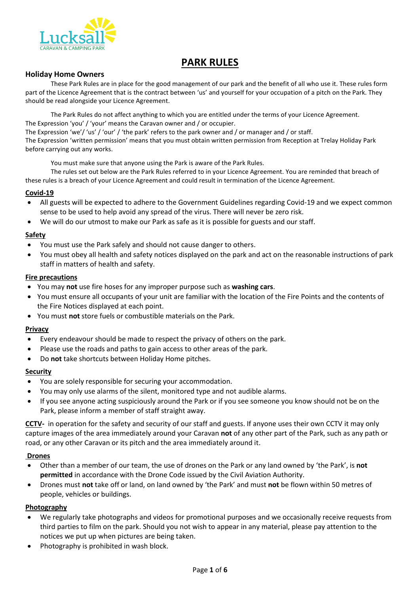

# **PARK RULES**

#### **Holiday Home Owners**

before carrying out any works.

These Park Rules are in place for the good management of our park and the benefit of all who use it. These rules form part of the Licence Agreement that is the contract between 'us' and yourself for your occupation of a pitch on the Park. They should be read alongside your Licence Agreement.

The Park Rules do not affect anything to which you are entitled under the terms of your Licence Agreement. The Expression 'you' / 'your' means the Caravan owner and / or occupier. The Expression 'we'/ 'us' / 'our' / 'the park' refers to the park owner and / or manager and / or staff. The Expression 'written permission' means that you must obtain written permission from Reception at Trelay Holiday Park

You must make sure that anyone using the Park is aware of the Park Rules. The rules set out below are the Park Rules referred to in your Licence Agreement. You are reminded that breach of these rules is a breach of your Licence Agreement and could result in termination of the Licence Agreement.

#### **Covid-19**

- All guests will be expected to adhere to the Government Guidelines regarding Covid-19 and we expect common sense to be used to help avoid any spread of the virus. There will never be zero risk.
- We will do our utmost to make our Park as safe as it is possible for guests and our staff.

#### **Safety**

- You must use the Park safely and should not cause danger to others.
- You must obey all health and safety notices displayed on the park and act on the reasonable instructions of park staff in matters of health and safety.

#### **Fire precautions**

- You may **not** use fire hoses for any improper purpose such as **washing cars**.
- You must ensure all occupants of your unit are familiar with the location of the Fire Points and the contents of the Fire Notices displayed at each point.
- You must **not** store fuels or combustible materials on the Park.

#### **Privacy**

- Every endeavour should be made to respect the privacy of others on the park.
- Please use the roads and paths to gain access to other areas of the park.
- Do **not** take shortcuts between Holiday Home pitches.

#### **Security**

- You are solely responsible for securing your accommodation.
- You may only use alarms of the silent, monitored type and not audible alarms.
- If you see anyone acting suspiciously around the Park or if you see someone you know should not be on the Park, please inform a member of staff straight away.

**CCTV-** in operation for the safety and security of our staff and guests. If anyone uses their own CCTV it may only capture images of the area immediately around your Caravan **not** of any other part of the Park, such as any path or road, or any other Caravan or its pitch and the area immediately around it.

#### **Drones**

- Other than a member of our team, the use of drones on the Park or any land owned by 'the Park', is **not permitted** in accordance with the Drone Code issued by the Civil Aviation Authority.
- Drones must **not** take off or land, on land owned by 'the Park' and must **not** be flown within 50 metres of people, vehicles or buildings.

#### **Photography**

- We regularly take photographs and videos for promotional purposes and we occasionally receive requests from third parties to film on the park. Should you not wish to appear in any material, please pay attention to the notices we put up when pictures are being taken.
- Photography is prohibited in wash block.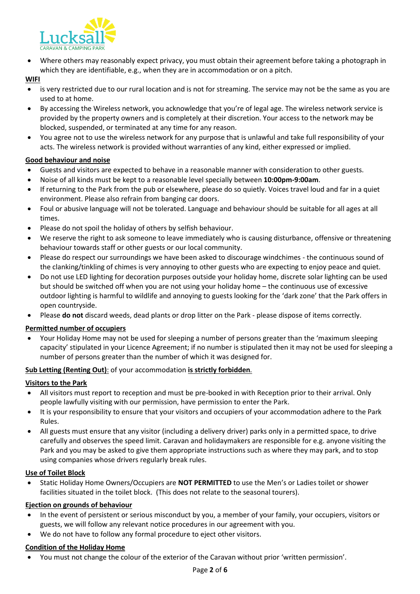

• Where others may reasonably expect privacy, you must obtain their agreement before taking a photograph in which they are identifiable, e.g., when they are in accommodation or on a pitch.

#### **WIFI**

- is very restricted due to our rural location and is not for streaming. The service may not be the same as you are used to at home.
- By accessing the Wireless network, you acknowledge that you're of legal age. The wireless network service is provided by the property owners and is completely at their discretion. Your access to the network may be blocked, suspended, or terminated at any time for any reason.
- You agree not to use the wireless network for any purpose that is unlawful and take full responsibility of your acts. The wireless network is provided without warranties of any kind, either expressed or implied.

## **Good behaviour and noise**

- Guests and visitors are expected to behave in a reasonable manner with consideration to other guests.
- Noise of all kinds must be kept to a reasonable level specially between **10:00pm-9:00am**.
- If returning to the Park from the pub or elsewhere, please do so quietly. Voices travel loud and far in a quiet environment. Please also refrain from banging car doors.
- Foul or abusive language will not be tolerated. Language and behaviour should be suitable for all ages at all times.
- Please do not spoil the holiday of others by selfish behaviour.
- We reserve the right to ask someone to leave immediately who is causing disturbance, offensive or threatening behaviour towards staff or other guests or our local community.
- Please do respect our surroundings we have been asked to discourage windchimes the continuous sound of the clanking/tinkling of chimes is very annoying to other guests who are expecting to enjoy peace and quiet.
- Do not use LED lighting for decoration purposes outside your holiday home, discrete solar lighting can be used but should be switched off when you are not using your holiday home – the continuous use of excessive outdoor lighting is harmful to wildlife and annoying to guests looking for the 'dark zone' that the Park offers in open countryside.
- Please **do not** discard weeds, dead plants or drop litter on the Park please dispose of items correctly.

## **Permitted number of occupiers**

• Your Holiday Home may not be used for sleeping a number of persons greater than the 'maximum sleeping capacity' stipulated in your Licence Agreement; if no number is stipulated then it may not be used for sleeping a number of persons greater than the number of which it was designed for.

## **Sub Letting (Renting Out)**: of your accommodation **is strictly forbidden***.*

## **Visitors to the Park**

- All visitors must report to reception and must be pre-booked in with Reception prior to their arrival. Only people lawfully visiting with our permission, have permission to enter the Park.
- It is your responsibility to ensure that your visitors and occupiers of your accommodation adhere to the Park Rules.
- All guests must ensure that any visitor (including a delivery driver) parks only in a permitted space, to drive carefully and observes the speed limit. Caravan and holidaymakers are responsible for e.g. anyone visiting the Park and you may be asked to give them appropriate instructions such as where they may park, and to stop using companies whose drivers regularly break rules.

## **Use of Toilet Block**

• Static Holiday Home Owners/Occupiers are **NOT PERMITTED** to use the Men's or Ladies toilet or shower facilities situated in the toilet block. (This does not relate to the seasonal tourers).

## **Ejection on grounds of behaviour**

- In the event of persistent or serious misconduct by you, a member of your family, your occupiers, visitors or guests, we will follow any relevant notice procedures in our agreement with you.
- We do not have to follow any formal procedure to eject other visitors.

## **Condition of the Holiday Home**

• You must not change the colour of the exterior of the Caravan without prior 'written permission'.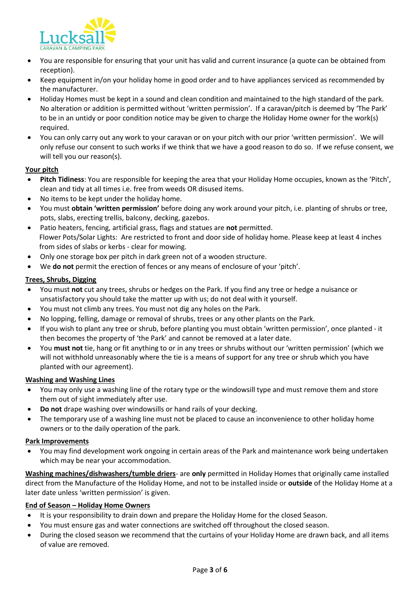

- You are responsible for ensuring that your unit has valid and current insurance (a quote can be obtained from reception).
- Keep equipment in/on your holiday home in good order and to have appliances serviced as recommended by the manufacturer.
- Holiday Homes must be kept in a sound and clean condition and maintained to the high standard of the park. No alteration or addition is permitted without 'written permission'. If a caravan/pitch is deemed by 'The Park' to be in an untidy or poor condition notice may be given to charge the Holiday Home owner for the work(s) required.
- You can only carry out any work to your caravan or on your pitch with our prior 'written permission'. We will only refuse our consent to such works if we think that we have a good reason to do so. If we refuse consent, we will tell you our reason(s).

#### **Your pitch**

- **Pitch Tidiness**: You are responsible for keeping the area that your Holiday Home occupies, known as the 'Pitch', clean and tidy at all times i.e. free from weeds OR disused items.
- No items to be kept under the holiday home.
- You must **obtain 'written permission'** before doing any work around your pitch, i.e. planting of shrubs or tree, pots, slabs, erecting trellis, balcony, decking, gazebos.
- Patio heaters, fencing, artificial grass, flags and statues are **not** permitted. Flower Pots/Solar Lights: Are restricted to front and door side of holiday home. Please keep at least 4 inches from sides of slabs or kerbs - clear for mowing.
- Only one storage box per pitch in dark green not of a wooden structure.
- We **do not** permit the erection of fences or any means of enclosure of your 'pitch'.

#### **Trees, Shrubs, Digging**

- You must **not** cut any trees, shrubs or hedges on the Park. If you find any tree or hedge a nuisance or unsatisfactory you should take the matter up with us; do not deal with it yourself.
- You must not climb any trees. You must not dig any holes on the Park.
- No lopping, felling, damage or removal of shrubs, trees or any other plants on the Park.
- If you wish to plant any tree or shrub, before planting you must obtain 'written permission', once planted it then becomes the property of 'the Park' and cannot be removed at a later date.
- You **must not** tie, hang or fit anything to or in any trees or shrubs without our 'written permission' (which we will not withhold unreasonably where the tie is a means of support for any tree or shrub which you have planted with our agreement).

#### **Washing and Washing Lines**

- You may only use a washing line of the rotary type or the windowsill type and must remove them and store them out of sight immediately after use.
- **Do not** drape washing over windowsills or hand rails of your decking.
- The temporary use of a washing line must not be placed to cause an inconvenience to other holiday home owners or to the daily operation of the park.

#### **Park Improvements**

• You may find development work ongoing in certain areas of the Park and maintenance work being undertaken which may be near your accommodation.

**Washing machines/dishwashers/tumble driers**- are **only** permitted in Holiday Homes that originally came installed direct from the Manufacture of the Holiday Home, and not to be installed inside or **outside** of the Holiday Home at a later date unless 'written permission' is given.

#### **End of Season – Holiday Home Owners**

- It is your responsibility to drain down and prepare the Holiday Home for the closed Season.
- You must ensure gas and water connections are switched off throughout the closed season.
- During the closed season we recommend that the curtains of your Holiday Home are drawn back, and all items of value are removed.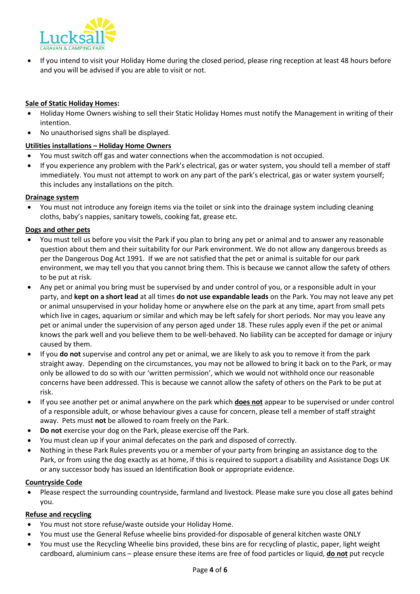

• If you intend to visit your Holiday Home during the closed period, please ring reception at least 48 hours before and you will be advised if you are able to visit or not.

### **Sale of Static Holiday Homes:**

- Holiday Home Owners wishing to sell their Static Holiday Homes must notify the Management in writing of their intention.
- No unauthorised signs shall be displayed.

#### **Utilities installations – Holiday Home Owners**

- You must switch off gas and water connections when the accommodation is not occupied.
- If you experience any problem with the Park's electrical, gas or water system, you should tell a member of staff immediately. You must not attempt to work on any part of the park's electrical, gas or water system yourself; this includes any installations on the pitch.

#### **Drainage system**

• You must not introduce any foreign items via the toilet or sink into the drainage system including cleaning cloths, baby's nappies, sanitary towels, cooking fat, grease etc.

#### **Dogs and other pets**

- You must tell us before you visit the Park if you plan to bring any pet or animal and to answer any reasonable question about them and their suitability for our Park environment. We do not allow any dangerous breeds as per the Dangerous Dog Act 1991. If we are not satisfied that the pet or animal is suitable for our park environment, we may tell you that you cannot bring them. This is because we cannot allow the safety of others to be put at risk.
- Any pet or animal you bring must be supervised by and under control of you, or a responsible adult in your party, and **kept on a short lead** at all times **do not use expandable leads** on the Park. You may not leave any pet or animal unsupervised in your holiday home or anywhere else on the park at any time, apart from small pets which live in cages, aquarium or similar and which may be left safely for short periods. Nor may you leave any pet or animal under the supervision of any person aged under 18. These rules apply even if the pet or animal knows the park well and you believe them to be well-behaved. No liability can be accepted for damage or injury caused by them.
- If you **do not** supervise and control any pet or animal, we are likely to ask you to remove it from the park straight away. Depending on the circumstances, you may not be allowed to bring it back on to the Park, or may only be allowed to do so with our 'written permission', which we would not withhold once our reasonable concerns have been addressed. This is because we cannot allow the safety of others on the Park to be put at risk.
- If you see another pet or animal anywhere on the park which **does not** appear to be supervised or under control of a responsible adult, or whose behaviour gives a cause for concern, please tell a member of staff straight away. Pets must **not** be allowed to roam freely on the Park.
- **Do not** exercise your dog on the Park, please exercise off the Park.
- You must clean up if your animal defecates on the park and disposed of correctly.
- Nothing in these Park Rules prevents you or a member of your party from bringing an assistance dog to the Park, or from using the dog exactly as at home, if this is required to support a disability and Assistance Dogs UK or any successor body has issued an Identification Book or appropriate evidence.

#### **Countryside Code**

• Please respect the surrounding countryside, farmland and livestock. Please make sure you close all gates behind you.

#### **Refuse and recycling**

- You must not store refuse/waste outside your Holiday Home.
- You must use the General Refuse wheelie bins provided-for disposable of general kitchen waste ONLY
- You must use the Recycling Wheelie bins provided, these bins are for recycling of plastic, paper, light weight cardboard, aluminium cans – please ensure these items are free of food particles or liquid, **do not** put recycle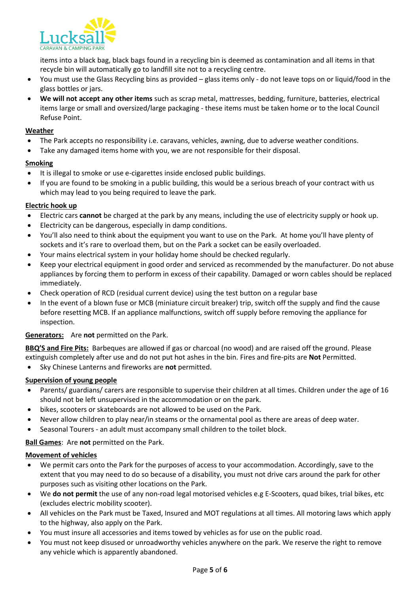

items into a black bag, black bags found in a recycling bin is deemed as contamination and all items in that recycle bin will automatically go to landfill site not to a recycling centre.

- You must use the Glass Recycling bins as provided glass items only do not leave tops on or liquid/food in the glass bottles or jars.
- **We will not accept any other items** such as scrap metal, mattresses, bedding, furniture, batteries, electrical items large or small and oversized/large packaging - these items must be taken home or to the local Council Refuse Point.

#### **Weather**

- The Park accepts no responsibility i.e. caravans, vehicles, awning, due to adverse weather conditions.
- Take any damaged items home with you, we are not responsible for their disposal.

#### **Smoking**

- It is illegal to smoke or use e-cigarettes inside enclosed public buildings.
- If you are found to be smoking in a public building, this would be a serious breach of your contract with us which may lead to you being required to leave the park.

#### **Electric hook up**

- Electric cars **cannot** be charged at the park by any means, including the use of electricity supply or hook up.
- Electricity can be dangerous, especially in damp conditions.
- You'll also need to think about the equipment you want to use on the Park. At home you'll have plenty of sockets and it's rare to overload them, but on the Park a socket can be easily overloaded.
- Your mains electrical system in your holiday home should be checked regularly.
- Keep your electrical equipment in good order and serviced as recommended by the manufacturer. Do not abuse appliances by forcing them to perform in excess of their capability. Damaged or worn cables should be replaced immediately.
- Check operation of RCD (residual current device) using the test button on a regular base
- In the event of a blown fuse or MCB (miniature circuit breaker) trip, switch off the supply and find the cause before resetting MCB. If an appliance malfunctions, switch off supply before removing the appliance for inspection.

**Generators:** Are **not** permitted on the Park.

**BBQ'S and Fire Pits:** Barbeques are allowed if gas or charcoal (no wood) and are raised off the ground. Please extinguish completely after use and do not put hot ashes in the bin. Fires and fire-pits are **Not** Permitted.

• Sky Chinese Lanterns and fireworks are **not** permitted.

#### **Supervision of young people**

- Parents/ guardians/ carers are responsible to supervise their children at all times. Children under the age of 16 should not be left unsupervised in the accommodation or on the park.
- bikes, scooters or skateboards are not allowed to be used on the Park.
- Never allow children to play near/in steams or the ornamental pool as there are areas of deep water.
- Seasonal Tourers an adult must accompany small children to the toilet block.

**Ball Games**: Are **not** permitted on the Park.

#### **Movement of vehicles**

- We permit cars onto the Park for the purposes of access to your accommodation. Accordingly, save to the extent that you may need to do so because of a disability, you must not drive cars around the park for other purposes such as visiting other locations on the Park.
- We **do not permit** the use of any non-road legal motorised vehicles e.g E-Scooters, quad bikes, trial bikes, etc (excludes electric mobility scooter).
- All vehicles on the Park must be Taxed, Insured and MOT regulations at all times. All motoring laws which apply to the highway, also apply on the Park.
- You must insure all accessories and items towed by vehicles as for use on the public road.
- You must not keep disused or unroadworthy vehicles anywhere on the park. We reserve the right to remove any vehicle which is apparently abandoned.